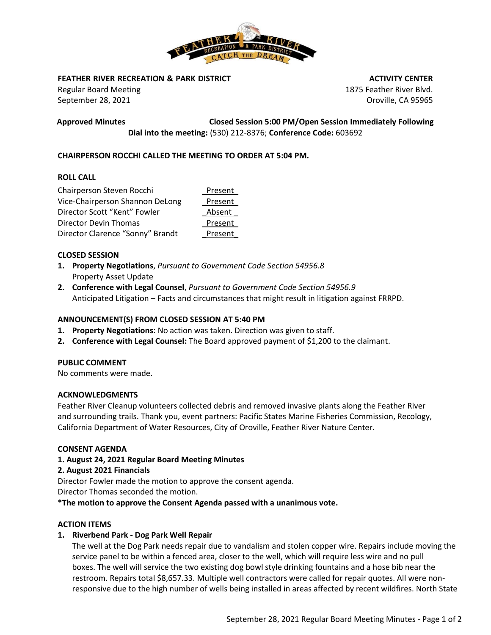

# **FEATHER RIVER RECREATION & PARK DISTRICT**

Regular Board Meeting September 28, 2021

 **ACTIVITY CENTER** 1875 Feather River Blvd. Oroville, CA 95965

**Approved Minutes Closed Session 5:00 PM/Open Session Immediately Following**

**Dial into the meeting:** (530) 212-8376; **Conference Code:** 603692

# **CHAIRPERSON ROCCHI CALLED THE MEETING TO ORDER AT 5:04 PM.**

# **ROLL CALL**

| Chairperson Steven Rocchi        | Present |
|----------------------------------|---------|
| Vice-Chairperson Shannon DeLong  | Present |
| Director Scott "Kent" Fowler     | Absent  |
| Director Devin Thomas            | Present |
| Director Clarence "Sonny" Brandt | Present |

# **CLOSED SESSION**

- **1. Property Negotiations**, *Pursuant to Government Code Section 54956.8*  Property Asset Update
- **2. Conference with Legal Counsel**, *Pursuant to Government Code Section 54956.9* Anticipated Litigation – Facts and circumstances that might result in litigation against FRRPD.

# **ANNOUNCEMENT(S) FROM CLOSED SESSION AT 5:40 PM**

- **1. Property Negotiations**: No action was taken. Direction was given to staff.
- **2. Conference with Legal Counsel:** The Board approved payment of \$1,200 to the claimant.

# **PUBLIC COMMENT**

No comments were made.

### **ACKNOWLEDGMENTS**

Feather River Cleanup volunteers collected debris and removed invasive plants along the Feather River and surrounding trails. Thank you, event partners: Pacific States Marine Fisheries Commission, Recology, California Department of Water Resources, City of Oroville, Feather River Nature Center.

### **CONSENT AGENDA**

### **1. August 24, 2021 Regular Board Meeting Minutes**

# **2. August 2021 Financials**

Director Fowler made the motion to approve the consent agenda.

Director Thomas seconded the motion.

**\*The motion to approve the Consent Agenda passed with a unanimous vote.**

### **ACTION ITEMS**

# **1. Riverbend Park - Dog Park Well Repair**

The well at the Dog Park needs repair due to vandalism and stolen copper wire. Repairs include moving the service panel to be within a fenced area, closer to the well, which will require less wire and no pull boxes. The well will service the two existing dog bowl style drinking fountains and a hose bib near the restroom. Repairs total \$8,657.33. Multiple well contractors were called for repair quotes. All were nonresponsive due to the high number of wells being installed in areas affected by recent wildfires. North State